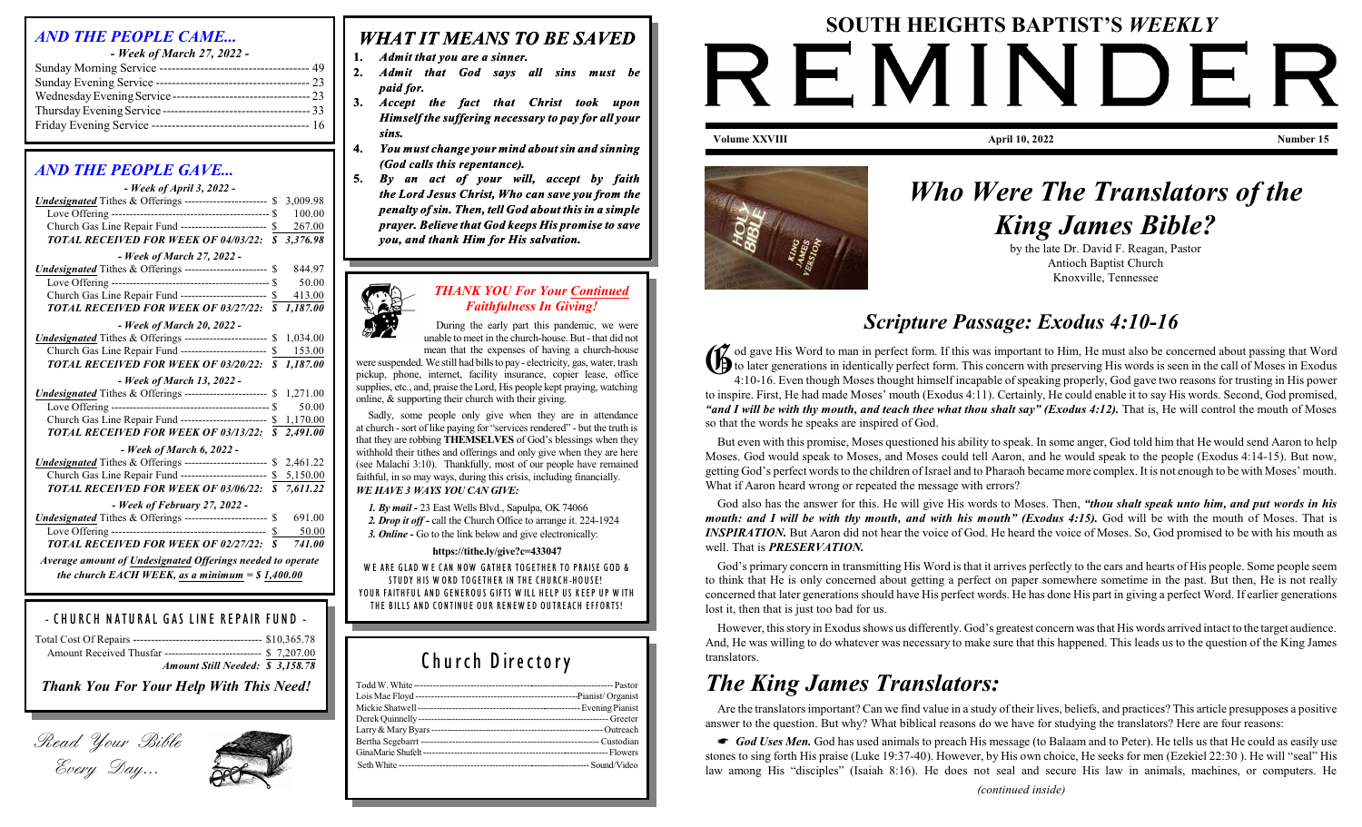#### *AND THE PEOPLE CAME...*

*- Week of March 27, 2022 -* Sunday Morning Service ------------------------------------- 49 Sunday Evening Service -------------------------------------- 23 WednesdayEveningService ---------------------------------- 23 ThursdayEvening Service ------------------------------------- 33 Friday Evening Service --------------------------------------- 16

#### *AND THE PEOPLE GAVE...*

| - Week of April 3, 2022 -                                          |                  |          |
|--------------------------------------------------------------------|------------------|----------|
| Undesignated Tithes & Offerings ----------------------- \$         |                  | 3,009.98 |
|                                                                    |                  | 100.00   |
| Church Gas Line Repair Fund ------------------------ \$            |                  | 267.00   |
| <b>TOTAL RECEIVED FOR WEEK OF 04/03/22:</b>                        | $\boldsymbol{s}$ | 3,376.98 |
| - Week of March 27, 2022 -                                         |                  |          |
| Undesignated Tithes & Offerings ----------------------- \$         |                  | 844.97   |
|                                                                    |                  | 50.00    |
| Church Gas Line Repair Fund ------------------------ \$            |                  | 413.00   |
| TOTAL RECEIVED FOR WEEK OF 03/27/22: \$                            |                  | 1,187.00 |
| - Week of March 20, 2022 -                                         |                  |          |
| <b>Undesignated</b> Tithes & Offerings ----------------------- \$  |                  | 1,034.00 |
| Church Gas Line Repair Fund ------------------------ \$            |                  | 153.00   |
| TOTAL RECEIVED FOR WEEK OF 03/20/22: \$                            |                  | 1,187.00 |
| - Week of March 13, 2022 -                                         |                  |          |
| <b>Undesignated</b> Tithes & Offerings ----------------------- \$  |                  | 1,271.00 |
|                                                                    |                  | 50.00    |
| Church Gas Line Repair Fund ------------------------- \$           |                  | 1,170.00 |
| TOTAL RECEIVED FOR WEEK OF 03/13/22: \$                            |                  | 2,491.00 |
| $-$ Week of March 6, 2022 -                                        |                  |          |
| Undesignated Tithes & Offerings ---------------------- \$ 2,461.22 |                  |          |
| Church Gas Line Repair Fund ------------------------ \$ 5,150.00   |                  |          |
| TOTAL RECEIVED FOR WEEK OF 03/06/22: \$                            |                  | 7,611.22 |
| - Week of February 27, 2022 -                                      |                  |          |
| <b>Undesignated</b> Tithes & Offerings ----------------------- \$  |                  | 691.00   |
|                                                                    | \$               | 50.00    |
| <b>TOTAL RECEIVED FOR WEEK OF 02/27/22:</b>                        | $\boldsymbol{s}$ | 741.00   |
| Average amount of Undesignated Offerings needed to operate         |                  |          |
| the church EACH WEEK, as a minimum = $$1,400.00$                   |                  |          |

#### *- C H U RC H N AT U RAL G AS LIN E REPAIR F U N D -*

| Amount Received Thusfar --------------------------- \$ 7,207.00 |  |
|-----------------------------------------------------------------|--|
| Amount Still Needed: \$3,158.78                                 |  |
|                                                                 |  |

*Thank You For Your Help With This Need!*





### *WHAT IT MEANS TO BE SAVED*

**1.** *Admit that you are a sinner.*

- **2.** *Admit that God says all sins must be paid for.*
- **3.** *Accept the fact that Christ took upon Himself the suffering necessary to pay for all your sins.*
- **4.** *You must change your mind aboutsin and sinning (God calls this repentance).*
- **5.** *By an act of your will, accept by faith the Lord Jesus Christ, Who can save you from the penalty of sin. Then, tell God about thisin a simple prayer. Believe that God keeps His promise to save you, and thank Him for His salvation.*

#### *THANK YOU For Your Continued Faithfulness In Giving!*

During the early part this pandemic, we were unable to meet in the church-house. But-that did not

mean that the expenses of having a church-house were suspended. We still had bills to pay - electricity, gas, water, trash pickup, phone, internet, facility insurance, copier lease, office supplies, etc., and, praise the Lord, His people kept praying, watching online, & supporting their church with their giving.

Sadly, some people only give when they are in attendance at church -sort of like paying for "services rendered" - but the truth is that they are robbing **THEMSELVES** of God's blessings when they withhold their tithes and offerings and only give when they are here (see Malachi 3:10). Thankfully, most of our people have remained faithful, in so may ways, during this crisis, including financially. *WE HAVE 3 WAYS YOU CAN GIVE:*

*1. By mail -* 23 East Wells Blvd., Sapulpa, OK 74066 *2. Drop it off -* call the Church Office to arrange it. 224-1924 *3. Online -* Go to the link below and give electronically:

**https://tithe.ly/give?c=433047** *W E ARE G LAD W E CAN N OW G ATH ER TO G ETH ER TO PRAISE GO D &* STUDY HIS WORD TOGETHER IN THE CHURCH-HOUSE! YOUR FAITHFUL AND GENEROUS GIFTS WILL HELP US KEEP UP WITH *TH <sup>E</sup> <sup>B</sup> ILLS AN <sup>D</sup> <sup>C</sup> ON TIN <sup>U</sup> <sup>E</sup> <sup>O</sup> <sup>U</sup> <sup>R</sup> REN EW ED <sup>O</sup> <sup>U</sup> TREAC <sup>H</sup> EFFORTS!*

## *Church D irectory*

# **SOUTH HEIGHTS BAPTIST'S** *WEEKLY* REMINDER **Volume XXVIII April 10, 2022 Number 15**



# *Who Were The Translators of the King James Bible?*

by the late Dr. David F. Reagan, Pastor Antioch Baptist Church Knoxville, Tennessee

# *Scripture Passage: Exodus 4:10-16*

do gave His Word to man in perfect form. If this was important to Him, He must also be concerned about passing that Word<br>to later generations in identically perfect form. This concern with preserving His words is seen in t  $\gamma$  od gave His Word to man in perfect form. If this was important to Him, He must also be concerned about passing that Word 4:10-16. Even though Moses thought himself incapable of speaking properly, God gave two reasons for trusting in His power to inspire. First, He had made Moses' mouth (Exodus 4:11). Certainly, He could enable it to say His words. Second, God promised, *"and I will be with thy mouth, and teach thee what thou shalt say" (Exodus 4:12).* That is, He will control the mouth of Moses so that the words he speaks are inspired of God.

But even with this promise, Moses questioned his ability to speak. In some anger, God told him that He would send Aaron to help Moses. God would speak to Moses, and Moses could tell Aaron, and he would speak to the people (Exodus 4:14-15). But now, getting God's perfect words to the children of Israel and to Pharaoh became more complex. It is not enough to be with Moses' mouth. What if Aaron heard wrong or repeated the message with errors?

God also has the answer for this. He will give His words to Moses. Then, *"thou shalt speak unto him, and put words in his mouth: and I will be with thy mouth, and with his mouth" (Exodus 4:15).* God will be with the mouth of Moses. That is *INSPIRATION*. But Aaron did not hear the voice of God. He heard the voice of Moses. So, God promised to be with his mouth as well. That is *PRESERVATION.*

God's primary concern in transmitting His Word is that it arrives perfectly to the ears and hearts of His people. Some people seem to think that He is only concerned about getting a perfect on paper somewhere sometime in the past. But then, He is not really concerned that later generations should have His perfect words. He has done His part in giving a perfect Word. If earlier generations lost it, then that is just too bad for us.

However, this story in Exodusshows us differently. God's greatest concern was that His words arrived intact to the target audience. And, He was willing to do whatever was necessary to make sure that this happened. This leads us to the question of the King James translators.

# *The King James Translators:*

Are the translators important? Can we find value in a study of their lives, beliefs, and practices? This article presupposes a positive answer to the question. But why? What biblical reasons do we have for studying the translators? Here are four reasons:

God *Uses Men.* God has used animals to preach His message (to Balaam and to Peter). He tells us that He could as easily use stones to sing forth His praise (Luke 19:37-40). However, by His own choice, He seeks for men (Ezekiel 22:30 ). He will "seal" His law among His "disciples" (Isaiah 8:16). He does not seal and secure His law in animals, machines, or computers. He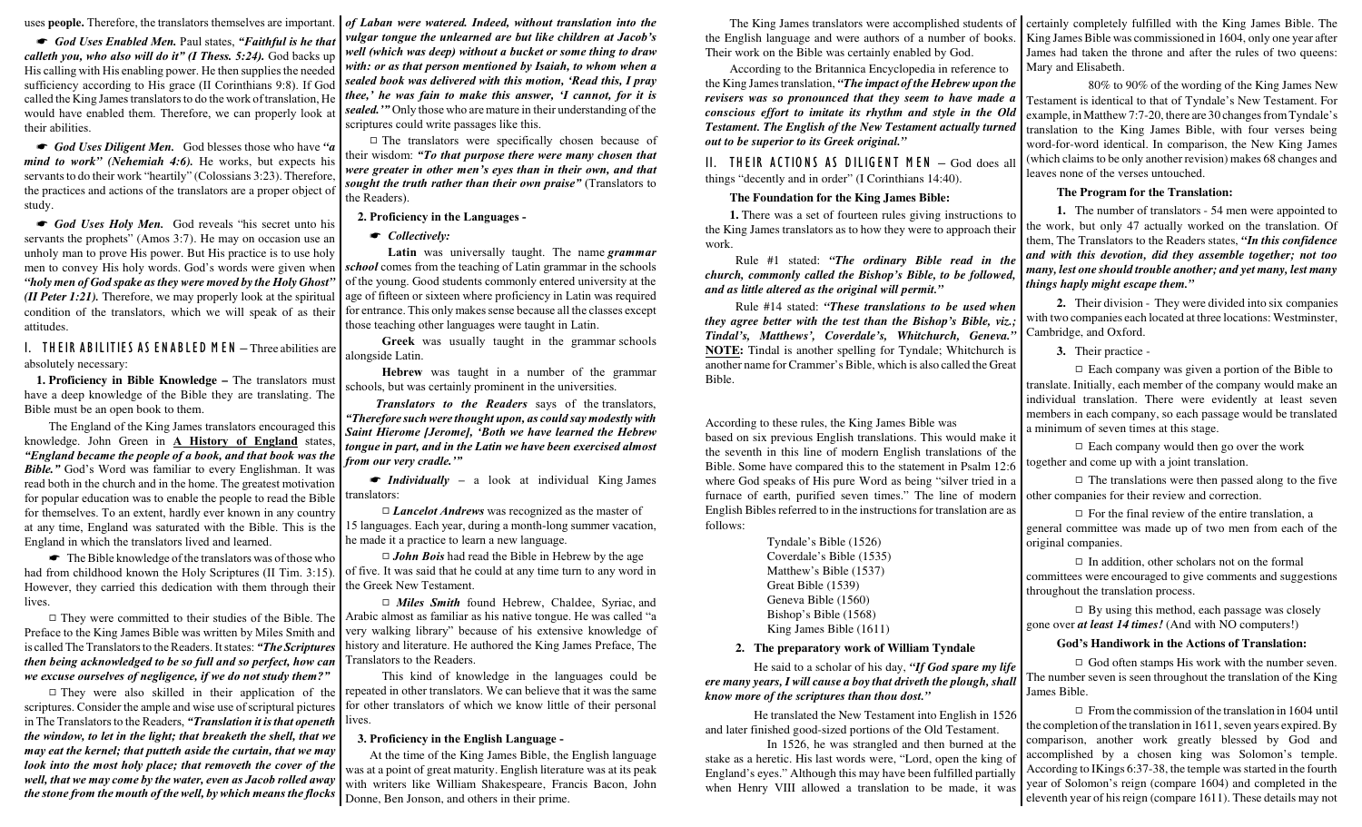uses **people.** Therefore, the translators themselves are important. *of Laban were watered. Indeed, without translation into the*

God *Uses Enabled Men.* Paul states, "Faithful is he that *calleth you, who also will do it" (I Thess. 5:24).* God backs up His calling with His enabling power. He then supplies the needed sufficiency according to His grace (II Corinthians 9:8). If God called the King James translators to do the work oftranslation, He would have enabled them. Therefore, we can properly look at their abilities.

God *Uses Diligent Men.* God blesses those who have "a *mind to work" (Nehemiah 4:6).* He works, but expects his servants to do their work "heartily" (Colossians 3:23). Therefore, the practices and actions of the translators are a proper object of study.

God *Uses Holy Men.* God reveals "his secret unto his servants the prophets" (Amos 3:7). He may on occasion use an unholy man to prove His power. But His practice is to use holy men to convey His holy words. God's words were given when *"holy men of God spake as they were moved by the Holy Ghost" (II Peter 1:21).* Therefore, we may properly look at the spiritual condition of the translators, which we will speak of as their attitudes.

*I. T H EIR A B ILITIES AS E N A B LE D M E N –* Three abilities are absolutely necessary:

**1. Proficiency in Bible Knowledge –** The translators must have a deep knowledge of the Bible they are translating. The Bible must be an open book to them.

The England of the King James translators encouraged this knowledge. John Green in **A History of England** states, *"England became the people of a book, and that book was the Bible."* God's Word was familiar to every Englishman. It was read both in the church and in the home. The greatest motivation for popular education was to enable the people to read the Bible for themselves. To an extent, hardly ever known in any country at any time, England was saturated with the Bible. This is the England in which the translators lived and learned.

 $\bullet$  The Bible knowledge of the translators was of those who had from childhood known the Holy Scriptures (II Tim. 3:15). However, they carried this dedication with them through their lives.

 $\Box$  They were committed to their studies of the Bible. The Preface to the King James Bible was written by Miles Smith and is called The Translators to the Readers. It states: *"The Scriptures then being acknowledged to be so full and so perfect, how can we excuse ourselves of negligence, if we do not study them?"*

 $\Box$  They were also skilled in their application of the scriptures. Consider the ample and wise use of scriptural pictures in The Translators to the Readers, *"Translation it is that openeth the window, to let in the light; that breaketh the shell, that we may eat the kernel; that putteth aside the curtain, that we may look into the most holy place; that removeth the cover of the well, that we may come by the water, even as Jacob rolled away the stone from the mouth of the well, by which means the flocks* Donne, Ben Jonson, and others in their prime.

*vulgar tongue the unlearned are but like children at Jacob's well (which was deep) without a bucket or some thing to draw with: or as that person mentioned by Isaiah, to whom when a sealed book was delivered with this motion, 'Read this, I pray thee,' he was fain to make this answer, 'I cannot, for it is sealed.'"* Only those who are mature in their understanding of the scriptures could write passages like this.

 $\Box$  The translators were specifically chosen because of their wisdom: *"To that purpose there were many chosen that were greater in other men's eyes than in their own, and that sought the truth rather than their own praise"* (Translators to the Readers).

**2. Proficiency in the Languages -** 

 $\bullet$  *Collectively:* 

**Latin** was universally taught. The name *grammar school* comes from the teaching of Latin grammar in the schools of the young. Good students commonly entered university at the age of fifteen or sixteen where proficiency in Latin was required for entrance. This only makes sense because all the classes except those teaching other languages were taught in Latin.

**Greek** was usually taught in the grammar schools alongside Latin.

**Hebrew** was taught in a number of the grammar schools, but was certainly prominent in the universities.

*Translators to the Readers* says of the translators, *"Therefore such were thought upon, as could say modestly with Saint Hierome [Jerome], 'Both we have learned the Hebrew tongue in part, and in the Latin we have been exercised almost from our very cradle.'"*

• *Individually* – a look at individual King James translators:

□ *Lancelot Andrews* was recognized as the master of 15 languages. Each year, during a month-long summer vacation, he made it a practice to learn a new language.

9 *John Bois* had read the Bible in Hebrew by the age of five. It was said that he could at any time turn to any word in the Greek New Testament.

9 *Miles Smith* found Hebrew, Chaldee, Syriac, and Arabic almost as familiar as his native tongue. He was called "a very walking library" because of his extensive knowledge of history and literature. He authored the King James Preface, The Translators to the Readers.

This kind of knowledge in the languages could be repeated in other translators. We can believe that it was the same for other translators of which we know little of their personal lives.

#### **3. Proficiency in the English Language -**

At the time of the King James Bible, the English language was at a point of great maturity. English literature was at its peak with writers like William Shakespeare, Francis Bacon, John the English language and were authors of a number of books. Their work on the Bible was certainly enabled by God.

According to the Britannica Encyclopedia in reference to the King James translation, *"The impact of the Hebrew upon the revisers was so pronounced that they seem to have made a conscious effort to imitate its rhythm and style in the Old Testament. The English of the New Testament actually turned out to be superior to its Greek original."*

*II. T H EIR ACTIO N S AS D ILIG E N T M E N –* God does all things "decently and in order" (I Corinthians 14:40).

#### **The Foundation for the King James Bible:**

**1.** There was a set of fourteen rules giving instructions to the King James translators as to how they were to approach their work.

Rule #1 stated: *"The ordinary Bible read in the church, commonly called the Bishop's Bible, to be followed, and as little altered as the original will permit."*

Rule #14 stated: *"These translations to be used when they agree better with the test than the Bishop's Bible, viz.; Tindal's, Matthews', Coverdale's, Whitchurch, Geneva."* **NOTE:** Tindal is another spelling for Tyndale; Whitchurch is another name for Crammer's Bible, which is also called the Great Bible.

According to these rules, the King James Bible was based on six previous English translations. This would make it the seventh in this line of modern English translations of the Bible. Some have compared this to the statement in Psalm 12:6 where God speaks of His pure Word as being "silver tried in a furnace of earth, purified seven times." The line of modern English Bibles referred to in the instructions for translation are as follows:

> Tyndale's Bible (1526) Coverdale's Bible (1535) Matthew's Bible (1537) Great Bible (1539) Geneva Bible (1560) Bishop's Bible (1568) King James Bible (1611)

#### **2. The preparatory work of William Tyndale**

He said to a scholar of his day, *"If God spare my life ere many years, I will cause a boy that driveth the plough, shall know more of the scriptures than thou dost."*

He translated the New Testament into English in 1526 and later finished good-sized portions of the Old Testament.

In 1526, he was strangled and then burned at the stake as a heretic. His last words were, "Lord, open the king of England's eyes." Although this may have been fulfilled partially when Henry VIII allowed a translation to be made, it was

The King James translators were accomplished students of certainly completely fulfilled with the King James Bible. The King James Bible was commissioned in 1604, only one year after James had taken the throne and after the rules of two queens: Mary and Elisabeth.

> 80% to 90% of the wording of the King James New Testament is identical to that of Tyndale's New Testament. For example, in Matthew 7:7-20, there are 30 changes from Tyndale's translation to the King James Bible, with four verses being word-for-word identical. In comparison, the New King James (which claims to be only another revision) makes 68 changes and leaves none of the verses untouched.

#### **The Program for the Translation:**

**1.** The number of translators - 54 men were appointed to the work, but only 47 actually worked on the translation. Of them, The Translators to the Readers states, *"In this confidence and with this devotion, did they assemble together; not too many, lest one should trouble another; and yet many, lest many things haply might escape them."*

**2.** Their division - They were divided into six companies with two companies each located at three locations: Westminster, Cambridge, and Oxford.

**3.** Their practice -

 $\Box$  Each company was given a portion of the Bible to translate. Initially, each member of the company would make an individual translation. There were evidently at least seven members in each company, so each passage would be translated a minimum of seven times at this stage.

 $\Box$  Each company would then go over the work together and come up with a joint translation.

 $\Box$  The translations were then passed along to the five other companies for their review and correction.

 $\Box$  For the final review of the entire translation, a general committee was made up of two men from each of the original companies.

 $\Box$  In addition, other scholars not on the formal committees were encouraged to give comments and suggestions throughout the translation process.

 $\Box$  By using this method, each passage was closely gone over *at least 14 times!* (And with NO computers!)

#### **God's Handiwork in the Actions of Translation:**

 $\Box$  God often stamps His work with the number seven. The number seven is seen throughout the translation of the King James Bible.

 $\Box$  From the commission of the translation in 1604 until the completion of the translation in 1611, seven years expired. By comparison, another work greatly blessed by God and accomplished by a chosen king was Solomon's temple. According to IKings 6:37-38, the temple was started in the fourth year of Solomon's reign (compare 1604) and completed in the eleventh year of his reign (compare 1611). These details may not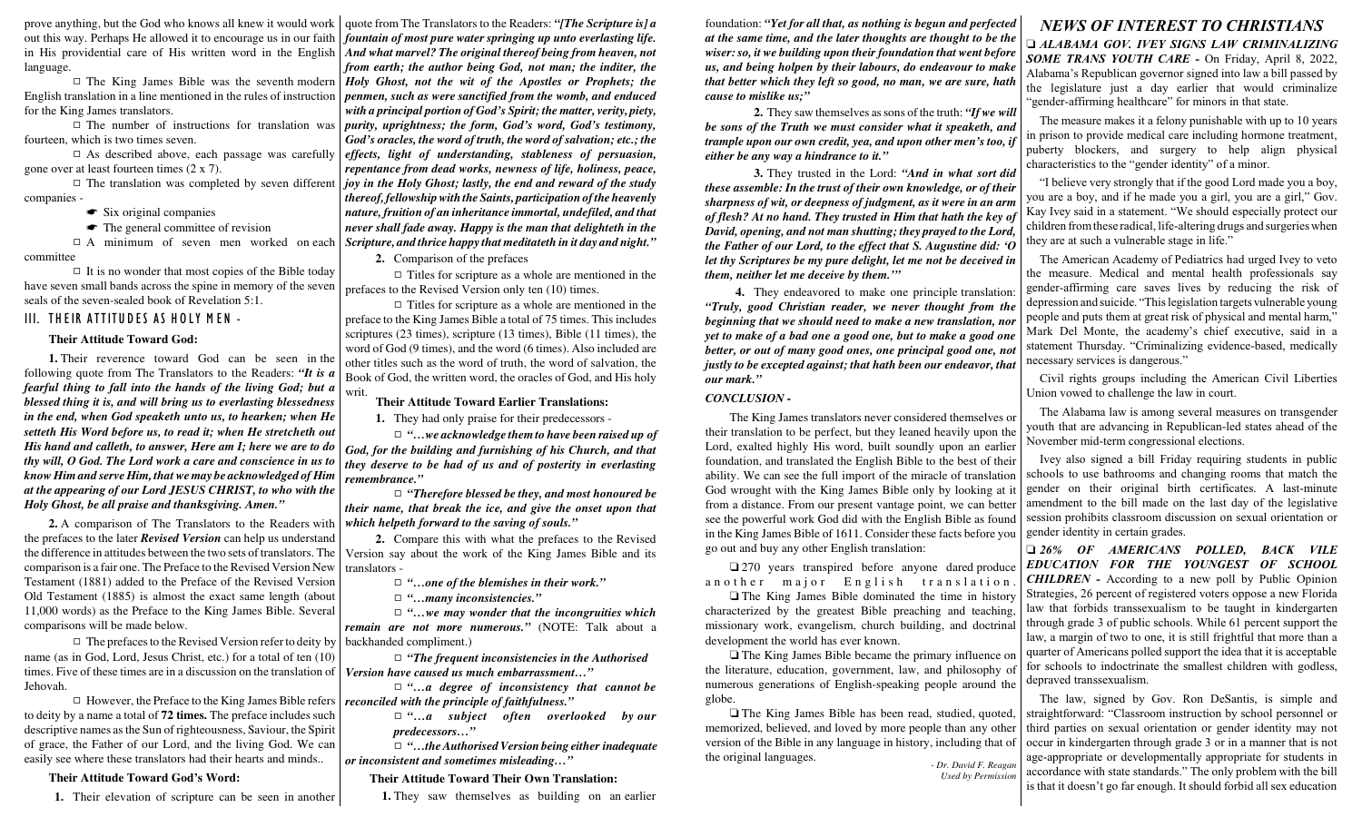prove anything, but the God who knows all knew it would work out this way. Perhaps He allowed it to encourage us in our faith in His providential care of His written word in the English language.

 $\Box$  The King James Bible was the seventh modern English translation in a line mentioned in the rules of instruction for the King James translators.

 $\Box$  The number of instructions for translation was fourteen, which is two times seven.

 $\Box$  As described above, each passage was carefully gone over at least fourteen times (2 x 7).

 $\Box$  The translation was completed by seven different companies -

#### $\bullet$  Six original companies

 $\bullet$  The general committee of revision

 $\Box$  A minimum of seven men worked on each committee

 $\Box$  It is no wonder that most copies of the Bible today have seven small bands across the spine in memory of the seven seals of the seven-sealed book of Revelation 5:1.

#### *III. T H EIR ATTIT U D ES AS H O LY M E N -*

#### **Their Attitude Toward God:**

**1.** Their reverence toward God can be seen in the following quote from The Translators to the Readers: *"It is a fearful thing to fall into the hands of the living God; but a blessed thing it is, and will bring us to everlasting blessedness in the end, when God speaketh unto us, to hearken; when He setteth His Word before us, to read it; when He stretcheth out His hand and calleth, to answer, Here am I; here we are to do thy will, O God. The Lord work a care and conscience in us to know Him and serve Him, that we may be acknowledged of Him at the appearing of our Lord JESUS CHRIST, to who with the Holy Ghost, be all praise and thanksgiving. Amen."*

**2.** A comparison of The Translators to the Readers with the prefaces to the later *Revised Version* can help us understand the difference in attitudes between the two sets of translators. The comparison is a fair one. The Preface to the Revised Version New Testament (1881) added to the Preface of the Revised Version Old Testament (1885) is almost the exact same length (about 11,000 words) as the Preface to the King James Bible. Several comparisons will be made below.

 $\Box$  The prefaces to the Revised Version refer to deity by name (as in God, Lord, Jesus Christ, etc.) for a total of ten (10) times. Five of these times are in a discussion on the translation of Jehovah.

 $\Box$  However, the Preface to the King James Bible refers to deity by a name a total of **72 times.** The preface includes such descriptive names as the Sun of righteousness, Saviour, the Spirit of grace, the Father of our Lord, and the living God. We can easily see where these translators had their hearts and minds..

#### **Their Attitude Toward God's Word:**

**1.** Their elevation of scripture can be seen in another

quote from The Translators to the Readers: *"[The Scripture is] a fountain of most pure water springing up unto everlasting life. And what marvel? The original thereof being from heaven, not from earth; the author being God, not man; the inditer, the Holy Ghost, not the wit of the Apostles or Prophets; the penmen, such as were sanctified from the womb, and enduced with a principal portion of God's Spirit; the matter, verity, piety, purity, uprightness; the form, God's word, God's testimony, God's oracles, the word of truth, the word of salvation; etc.; the effects, light of understanding, stableness of persuasion, repentance from dead works, newness of life, holiness, peace, joy in the Holy Ghost; lastly, the end and reward of the study thereof, fellowshipwith the Saints, participation of the heavenly nature, fruition of an inheritance immortal, undefiled, and that never shall fade away. Happy is the man that delighteth in the Scripture, and thrice happy that meditateth in it day and night."*

**2.** Comparison of the prefaces

 $\Box$  Titles for scripture as a whole are mentioned in the prefaces to the Revised Version only ten (10) times.

 $\Box$  Titles for scripture as a whole are mentioned in the preface to the King James Bible a total of 75 times. This includes scriptures (23 times), scripture (13 times), Bible (11 times), the word of God (9 times), and the word (6 times). Also included are other titles such as the word of truth, the word of salvation, the Book of God, the written word, the oracles of God, and His holy writ.

#### **Their Attitude Toward Earlier Translations:**

**1.** They had only praise for their predecessors -

9 *"…we acknowledge them to have been raised up of God, for the building and furnishing of his Church, and that they deserve to be had of us and of posterity in everlasting remembrance."*

9 *"Therefore blessed be they, and most honoured be their name, that break the ice, and give the onset upon that which helpeth forward to the saving of souls."*

**2.** Compare this with what the prefaces to the Revised Version say about the work of the King James Bible and its translators -

9 *"…one of the blemishes in their work."*

9 *"…many inconsistencies."*

9 *"…we may wonder that the incongruities which remain are not more numerous."* (NOTE: Talk about a backhanded compliment.)

9 *"The frequent inconsistencies in the Authorised Version have caused us much embarrassment…"*

9 *"…a degree of inconsistency that cannot be reconciled with the principle of faithfulness."*

> 9 *"…a subject often overlooked by our predecessors…"*

9 *"…the AuthorisedVersion being either inadequate or inconsistent and sometimes misleading…"*

#### **Their Attitude Toward Their Own Translation:**

**1.** They saw themselves as building on an earlier

foundation: *"Yet for all that, as nothing is begun and perfected at the same time, and the later thoughts are thought to be the wiser: so, it we building upon their foundation that went before us, and being holpen by their labours, do endeavour to make that better which they left so good, no man, we are sure, hath cause to mislike us;"*

**2.** They saw themselves as sons of the truth: *"If we will be sons of the Truth we must consider what it speaketh, and trample upon our own credit, yea, and upon other men's too, if either be any way a hindrance to it."*

**3.** They trusted in the Lord: *"And in what sort did these assemble: In the trust of their own knowledge, or of their sharpness of wit, or deepness of judgment, as it were in an arm of flesh? At no hand. They trusted in Him that hath the key of David, opening, and not man shutting; they prayed to the Lord, the Father of our Lord, to the effect that S. Augustine did: 'O let thy Scriptures be my pure delight, let me not be deceived in them, neither let me deceive by them.'"*

**4.** They endeavored to make one principle translation: *"Truly, good Christian reader, we never thought from the beginning that we should need to make a new translation, nor yet to make of a bad one a good one, but to make a good one better, or out of many good ones, one principal good one, not justly to be excepted against; that hath been our endeavor, that our mark."*

#### *CONCLUSION -*

The King James translators never considered themselves or their translation to be perfect, but they leaned heavily upon the Lord, exalted highly His word, built soundly upon an earlier foundation, and translated the English Bible to the best of their ability. We can see the full import of the miracle of translation God wrought with the King James Bible only by looking at it from a distance. From our present vantage point, we can better see the powerful work God did with the English Bible as found in the King James Bible of 1611. Consider these facts before you go out and buy any other English translation:

270 years transpired before anyone dared produce an o ther major English translation.

 $\Box$  The King James Bible dominated the time in history characterized by the greatest Bible preaching and teaching, missionary work, evangelism, church building, and doctrinal development the world has ever known.

 The King James Bible became the primary influence on the literature, education, government, law, and philosophy of numerous generations of English-speaking people around the globe.

 The King James Bible has been read, studied, quoted, memorized, believed, and loved by more people than any other version of the Bible in any language in history, including that of the original languages. *- Dr. David F. Reagan*

*Used by Permission*

#### *NEWS OF INTEREST TO CHRISTIANS*

 *ALABAMA GOV. IVEY SIGNS LAW CRIMINALIZING SOME TRANS YOUTH CARE -* On Friday, April 8, 2022, Alabama's Republican governor signed into law a bill passed by the legislature just a day earlier that would criminalize "gender-affirming healthcare" for minors in that state.

The measure makes it a felony punishable with up to 10 years in prison to provide medical care including hormone treatment, puberty blockers, and surgery to help align physical characteristics to the "gender identity" of a minor.

"I believe very strongly that if the good Lord made you a boy, you are a boy, and if he made you a girl, you are a girl," Gov. Kay Ivey said in a statement. "We should especially protect our children fromthese radical, life-altering drugs and surgeries when they are at such a vulnerable stage in life."

The American Academy of Pediatrics had urged Ivey to veto the measure. Medical and mental health professionals say gender-affirming care saves lives by reducing the risk of depression and suicide. "This legislation targets vulnerable young people and puts them at great risk of physical and mental harm," Mark Del Monte, the academy's chief executive, said in a statement Thursday. "Criminalizing evidence-based, medically necessary services is dangerous."

Civil rights groups including the American Civil Liberties Union vowed to challenge the law in court.

The Alabama law is among several measures on transgender youth that are advancing in Republican-led states ahead of the November mid-term congressional elections.

Ivey also signed a bill Friday requiring students in public schools to use bathrooms and changing rooms that match the gender on their original birth certificates. A last-minute amendment to the bill made on the last day of the legislative session prohibits classroom discussion on sexual orientation or gender identity in certain grades.

 *26% OF AMERICANS POLLED, BACK VILE EDUCATION FOR THE YOUNGEST OF SCHOOL CHILDREN -* According to a new poll by Public Opinion Strategies, 26 percent of registered voters oppose a new Florida law that forbids transsexualism to be taught in kindergarten through grade 3 of public schools. While 61 percent support the law, a margin of two to one, it is still frightful that more than a quarter of Americans polled support the idea that it is acceptable for schools to indoctrinate the smallest children with godless, depraved transsexualism.

The law, signed by Gov. Ron DeSantis, is simple and straightforward: "Classroom instruction by school personnel or third parties on sexual orientation or gender identity may not occur in kindergarten through grade 3 or in a manner that is not age-appropriate or developmentally appropriate for students in accordance with state standards." The only problem with the bill is that it doesn't go far enough. It should forbid all sex education